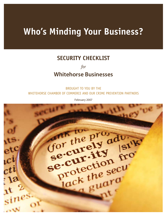# **Who's Minding Your Business?**

# **SECURITY CHECKLIST**

*for* 

# **Whitehorse Businesses**

BROUGHT TO YOU BY THE WHITEHORSE CHAMBER OF COMMERCE AND OUR CRIME PREVENTION PARTNERS

February 2007

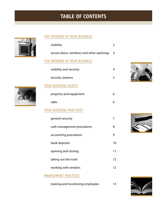# **TABLE OF CONTENTS**

# THE EXTERIOR OF YOUR BUSINESS

| visibility                               | $\overline{2}$ |
|------------------------------------------|----------------|
| secure doors, windows and other openings | 3              |
| THE INTERIOR OF YOUR BUSINESS            |                |
| visibility and security                  | 4              |
| security systems                         | 5              |
| YOUR BUSINESS ASSETS                     |                |
| property and equipment                   | 6              |
| safes                                    | 6              |
| YOUR BUSINESS PRACTICES                  |                |
| aeneral security                         | 7              |









| general security           | 7  |
|----------------------------|----|
| cash management procedures | 8  |
| accounting procedures      | 9  |
| bank deposits              | 10 |
| opening and closing        | 11 |
| taking out the trash       | 12 |
| working with vendors       | 12 |
|                            |    |

# MANAGEMENT PRACTICES

training and monitoring employees 13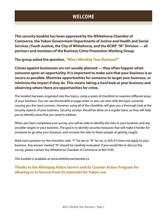# **WELCOME**

**This security booklet has been approved by the Whitehorse Chamber of Commerce, the Yukon Government Departments of Justice and Health and Social Services (Youth Justice), the City of Whitehorse, and the RCMP "M" Division — all partners and members of the Business Crime Prevention Working Group.** 

**The group asked the question, "Who's Minding Your Business?"**

**Crimes against businesses are not usually planned — they often happen when someone spots an opportunity. It is important to make sure that your business is as secure as possible. Minimize opportunities for someone to target your business, or minimize the impact if they do. This means taking a hard look at your business and observing where there are opportunities for crime.** 

The booklet has been organized into fve topics, using a series of checklists to examine diferent areas of your business. You can use the booklet in page order, or you can start with the topic currently causing you the most concern. However, using all of the checklists will give you a thorough look at the security aspects of your business. Security surveys should be done on a regular basis, as they will help you to identify areas that you need to address.

When you have completed your survey, you will be able to identify the risks to your business and any possible targets in your business. The goal is to identify security measures that will make it harder for someone to go after your business, and increase the risks to these people of getting caught.

Mark each question on the checklists with "Y" for yes or "N" for no, or N/A if it does not apply to your business. Any answer marked "N" should be carefully evaluated. If you would like to discuss this survey, please contact the Whitehorse Chamber of Commerce at 667-7545.

This booklet is available at www.whitehorsechamber.ca

**Thanks to the Winnipeg Police Service and its Counter Action Program for allowing us to borrow from its materials for Yukon use.**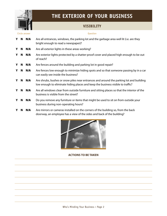

# **THE EXTERIOR OF YOUR BUSINESS**

# **VISIBILITY**

#### Circle answer Question

- Y N N/A Are all entrances, windows, the parking lot and the garbage area well lit (i.e. are they bright enough to read a newspaper)?
- Y **N N/A** Are all exterior lights in these areas working?
- Y N N/A Are exterior lights protected by a shatter-proof cover and placed high enough to be out of reach?
- Y N N/A Are fences around the building and parking lot in good repair?
- N N/A Are fences low enough to minimize hiding spots and so that someone passing by in a car can easily see inside the business?
- Y N N/A Are shrubs, bushes or snow piles near entrances and around the parking lot and building low enough to eliminate hiding places and keep the business visible to traffic?
- Y N N/A Are all windows clear from outside furniture and sitting places so that the interior of the business is visible from the street?
- Y N N/A Do you remove any furniture or items that might be used to sit on from outside your business during non-operating hours?
- Y N N/A Are mirrors or cameras installed on the corners of the building so, from the back doorway, an employee has a view of the sides and back of the building?

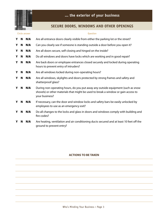

# **SECURE DOORS, WINDOWS AND OTHER OPENINGS**

|   |   | Circle answer | Question                                                                                                                                                                                |
|---|---|---------------|-----------------------------------------------------------------------------------------------------------------------------------------------------------------------------------------|
| Y | N | N/A           | Are all entrance doors clearly visible from either the parking lot or the street?                                                                                                       |
| Y | N | N/A           | Can you clearly see if someone is standing outside a door before you open it?                                                                                                           |
| Y | N | N/A           | Are all doors secure, self-closing and hinged on the inside?                                                                                                                            |
| Y | N | N/A           | Do all windows and doors have locks which are working and in good repair?                                                                                                               |
| Y | N | N/A           | Are back doors or employee entrances closed securely and locked during operating<br>hours to prevent entry of intruders?                                                                |
| Y | N | N/A           | Are all windows locked during non-operating hours?                                                                                                                                      |
| Y | N | N/A           | Are all windows, skylights and doors protected by strong frames and safety and<br>shatterproof glass?                                                                                   |
| Y | N | N/A           | During non-operating hours, do you put away any outside equipment (such as snow<br>shovels) or other materials that might be used to break a window or gain access to<br>your business? |
| Y | N | N/A           | If necessary, can the door and window locks and safety bars be easily unlocked by<br>employees to use as an emergency exit?                                                             |
| Y | N | N/A           | Do all changes to the locks and glass in doors and windows comply with building and<br>fire codes?                                                                                      |
| Y | N | N/A           | Are heating, ventilation and air conditioning ducts secured and at least 10 feet off the<br>ground to prevent entry?                                                                    |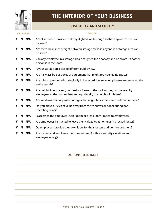

# **THE INTERIOR OF YOUR BUSINESS**

# **VISIBILITY AND SECURITY**

#### Circle answer **Question**

| Y | N | N/A | Are all interior rooms and hallways lighted well enough so that anyone in them can<br>be seen?                                                           |
|---|---|-----|----------------------------------------------------------------------------------------------------------------------------------------------------------|
| Y | N | N/A | Are there clear lines of sight between storage racks so anyone in a storage area can<br>be seen?                                                         |
| Y | N | N/A | Can any employee in a storage area clearly see the doorway and be aware if another<br>person is in the room?                                             |
| Y | N | N/A | Is your storage area closed off from public view?                                                                                                        |
| Y | N | N/A | Are hallways free of boxes or equipment that might provide hiding spaces?                                                                                |
| Y | N | N/A | Are mirrors positioned strategically in long corridors so an employee can see along the<br>entire length?                                                |
| Y | N | N/A | Are height lines marked, on the door frame or the wall, so they can be seen by<br>employees at the cash register to help identify the height of robbers? |
| Y | N | N/A | Are windows clear of posters or signs that might block the view inside and outside?                                                                      |
| Y | N | N/A | Do you move articles of value away from the windows or doors during non-<br>operating hours?                                                             |
| Y | N | N/A | Is access to the employee locker room or break room limited to employees?                                                                                |
| Y | N | N/A | Are employees instructed to leave their valuables at home or in a locked locker?                                                                         |
| Y | N | N/A | Do employees provide their own locks for their lockers and do they use them?                                                                             |
| Y | N | N/A | Are lockers and employee rooms monitored (both for security violations and<br>employee safety)?                                                          |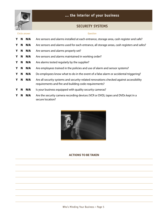

# **SECURITY SYSTEMS**

| Circle answer |    |     | Question                                                                                                                                         |
|---------------|----|-----|--------------------------------------------------------------------------------------------------------------------------------------------------|
| Y             | N  | N/A | Are sensors and alarms installed at each entrance, storage area, cash register and safe?                                                         |
| Y             | N  | N/A | Are sensors and alarms used for each entrance, all storage areas, cash registers and safes?                                                      |
| Y             | N. | N/A | Are sensors and alarms properly set?                                                                                                             |
| Y             | N  | N/A | Are sensors and alarms maintained in working order?                                                                                              |
| Y             | N  | N/A | Are alarms tested regularly by the supplier?                                                                                                     |
| Y             | N  | N/A | Are employees trained in the policies and use of alarm and sensor systems?                                                                       |
| Y             | N  | N/A | Do employees know what to do in the event of a false alarm or accidental triggering?                                                             |
| Y             | N. | N/A | Are all security systems and security-related renovations checked against accessibility<br>requirements and fire and building code requirements? |
| Y             | N  | N/A | Is your business equipped with quality security cameras?                                                                                         |
| Y             | N  | N/A | Are the security camera recording devices (VCR or DVD), tapes and DVDs kept in a<br>secure location?                                             |

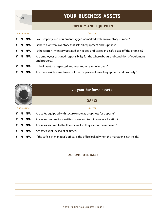

# **YOUR BUSINESS ASSETS**

### **PROPERTY AND EQUIPMENT**

| Circle answer |   |     | Question                                                                                              |
|---------------|---|-----|-------------------------------------------------------------------------------------------------------|
| Y             | N | N/A | Is all property and equipment tagged or marked with an inventory number?                              |
| Y             | N | N/A | Is there a written inventory that lists all equipment and supplies?                                   |
| Y             | N | N/A | Is the written inventory updated as needed and stored in a safe place off the premises?               |
| Y             | N | N/A | Are employees assigned responsibility for the whereabouts and condition of equipment<br>and property? |
| Y             | N | N/A | Is the inventory inspected and counted on a regular basis?                                            |
| Y             | N | N/A | Are there written employee policies for personal use of equipment and property?                       |

**... your business assets SAFES** Circle answer Question Y N N/A Are safes equipped with secure one-way drop slots for deposits? Y N N/A Are safe combinations written down and kept in a secure location? Y N N/A Are safes secured to the floor or wall so they cannot be removed? Y N N/A Are safes kept locked at all times? Y  $N$   $N/A$  If the safe is in manager's office, is the office locked when the manager is not inside?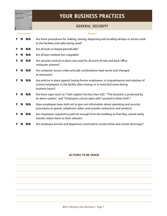

# **YOUR BUSINESS PRACTICES**

# **GENERAL SECURITY**

|   | Circle answer |     | Question                                                                                                                                                                                       |
|---|---------------|-----|------------------------------------------------------------------------------------------------------------------------------------------------------------------------------------------------|
| Y | N             | N/A | Are there procedures for making, storing, dispersing and recalling all keys or access cards<br>to the facilities and safes being used?                                                         |
| Y | N             | N/A | Are all locks re-keyed periodically?                                                                                                                                                           |
| Y | N             | N/A | Are all keys marked non-copyable?                                                                                                                                                              |
| Y | N             | N/A | Are security controls in place and used for all point-of-sale and back-office<br>computer systems?                                                                                             |
| Y | N             | N/A | Are computer access codes and safe combinations kept secret and changed<br>as necessary?                                                                                                       |
| Y | N             | N/A | Are policies in place against having former employees, or acquaintances and relatives of<br>current employees, in the facility after closing, or in restricted areas during<br>business hours? |
| Y | N             | N/A | Are there signs (such as "Cash register has less than \$20," "This business is protected by<br>an alarm system," and "Employees cannot open safe") posted to deter theft?                      |
| Y | N             | N/A | Have employees been told not to give out information about operating and security<br>procedures to guests, telephone callers and outside contractors and vendors?                              |
| Y | N             | N/A | Are employees required to park far enough from the building so that they cannot easily<br>transfer stolen items to their vehicles?                                                             |
|   | N             | N/A | Are employee arrivals and departures restricted to certain times and certain doorways?                                                                                                         |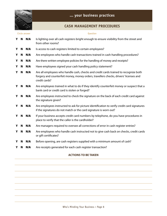

## **CASH MANAGEMENT PROCEDURES**

|   |   | Circle answer | Question                                                                                                                                                                                       |
|---|---|---------------|------------------------------------------------------------------------------------------------------------------------------------------------------------------------------------------------|
| Y | N | N/A           | Is lighting over all cash registers bright enough to ensure visibility from the street and<br>from other rooms?                                                                                |
| Y | N | N/A           | Is access to cash registers limited to certain employees?                                                                                                                                      |
| Y | N | N/A           | Are employees who handle cash transactions trained in cash-handling procedures?                                                                                                                |
| Y | N | N/A           | Are there written employee policies for the handling of money and receipts?                                                                                                                    |
| Y | N | N/A           | Have employees signed your cash handling policy statement?                                                                                                                                     |
| Y | N | N/A           | Are all employees who handle cash, checks and credit cards trained to recognize both<br>forgery and counterfeit money, money orders, travellers checks, drivers' licenses and<br>credit cards? |
| Y | N | N/A           | Are employees trained in what to do if they identify counterfeit money or suspect that a<br>bank card or credit card is stolen or forged?                                                      |
| Y | N | N/A           | Are employees instructed to check the signature on the back of each credit card against<br>the signature given?                                                                                |
| Y | N | N/A           | Are employees instructed to ask for picture identification to verify credit card signatures<br>if the signatures do not match or the card signature is worn out?                               |
| Y | N | N/A           | If your business accepts credit card numbers by telephone, do you have procedures in<br>place to verify that the caller is the cardholder?                                                     |
| Y | N | N/A           | Are managers required to oversee all corrections of error in cash register entries?                                                                                                            |
| Y | N | N/A           | Are employees who handle cash instructed not to give cash back on checks, credit cards<br>or gift certificates?                                                                                |
| Y | N | N/A           | Before opening, are cash registers supplied with a minimum amount of cash?                                                                                                                     |
| Y | N | N/A           | Are receipts generated for each cash register transaction?                                                                                                                                     |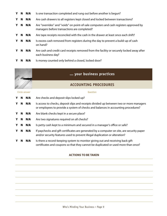- Y N N/A Is one transaction completed and rung out before another is begun? Y N N/A Are cash drawers to all registers kept closed and locked between transactions? **Y** N **N/A** Are "overrides" and "voids" on point-of-sale computers and cash registers approved by managers before transactions are completed? Y N N/A Are tape receipts reconciled with the cash in the drawer at least once each shift? Y N N/A Is excess cash removed from registers during the day to prevent a build-up of cash on hand? Y N N/A Are cash and credit card receipts removed from the facility or securely locked away after each business day?
- Y N N/A Is money counted only behind a closed, locked door?

### **... your business practices**

### **ACCOUNTING PROCEDURES**

#### Circle answer **Calculation** Circle answer **Question**

Y N N/A Are checks and deposit slips locked up? Y N N/A Is access to checks, deposit slips and receipts divided up between two or more managers or employees to provide a system of checks and balances in accounting procedures? **Y N N/A** Are blank checks kept in a secure place? Y N N/A Are two signatures required on all checks? Y  $N$   $N/A$  Is petty cash kept to a minimum and secured in a manager's office or safe? Y N N/A If paychecks and gift certificates are generated by a computer on site, are security paper and/or security features used to prevent illegal duplication or alteration? Y N N/A Is there a record-keeping system to monitor giving out and receiving back gift certifcates and coupons so that they cannot be duplicated or used more than once?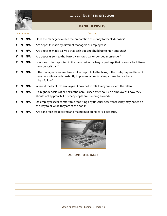

# **... your business practices**

# **BANK DEPOSITS**

|   | Circle answer |     | <b>Question</b>                                                                                                                                                                           |
|---|---------------|-----|-------------------------------------------------------------------------------------------------------------------------------------------------------------------------------------------|
| Υ | N             | N/A | Does the manager oversee the preparation of money for bank deposits?                                                                                                                      |
| Y | N             | N/A | Are deposits made by different managers or employees?                                                                                                                                     |
| Y | N             | N/A | Are deposits made daily so that cash does not build up to high amounts?                                                                                                                   |
| Y | N             | N/A | Are deposits sent to the bank by armored car or bonded messenger?                                                                                                                         |
| Y | N             | N/A | Is money to be deposited in the bank put into a bag or package that does not look like a<br>bank deposit bag?                                                                             |
| Y | N             | N/A | If the manager or an employee takes deposits to the bank, is the route, day and time of<br>bank deposits varied constantly to prevent a predictable pattern that robbers<br>might follow? |
| Y | N             | N/A | While at the bank, do employees know not to talk to anyone except the teller?                                                                                                             |
| Y | N             | N/A | If a night deposit slot or box at the bank is used after hours, do employees know they<br>should not approach it if other people are standing around?                                     |
| Y | N             | N/A | Do employees feel comfortable reporting any unusual occurrences they may notice on<br>the way to or while they are at the bank?                                                           |
|   | N             | N/A | Are bank receipts received and maintained on file for all deposits?                                                                                                                       |

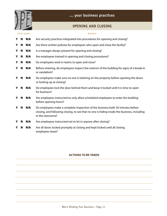

# **OPENING AND CLOSING**

#### Circle answer Question

| Y | N | N/A | Are security practices integrated into procedures for opening and closing?                                                                                                                         |
|---|---|-----|----------------------------------------------------------------------------------------------------------------------------------------------------------------------------------------------------|
| Y | N | N/A | Are there written policies for employees who open and close the facility?                                                                                                                          |
| Y | N | N/A | Is a manager always present for opening and closing?                                                                                                                                               |
| Y | N | N/A | Are employees trained in opening and closing procedures?                                                                                                                                           |
| Y | N | N/A | Do employees work in teams to open and close?                                                                                                                                                      |
| Y | N | N/A | Before entering, do employees inspect the exterior of the building for signs of a break-in<br>or vandalism?                                                                                        |
| Y | N | N/A | Do employees make sure no one is loitering on the property before opening the doors<br>or locking up at closing?                                                                                   |
| Y | N | N/A | Do employees lock the door behind them and keep it locked until it is time to open<br>for business?                                                                                                |
| Y | N | N/A | Are employees instructed to only allow scheduled employees to enter the building<br>before opening hours?                                                                                          |
| Y | N | N/A | Do employees make a complete inspection of the business both 30 minutes before<br>closing, and following closing, to see that no one is hiding inside the business, including<br>in the restrooms? |
| Y | N | N/A | Are employees instructed not to let in anyone after closing?                                                                                                                                       |
| Y | N | N/A | Are all doors locked promptly at closing and kept locked until all closing<br>employees leave?                                                                                                     |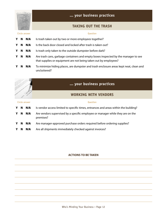

### **TAKING OUT THE TRASH**

# Circle answer Question Y N N/A Is trash taken out by two or more employees together? Y N N/A Is the back door closed and locked after trash is taken out? Y N N/A Is trash only taken to the outside dumpster before dark? Y N N/A Are trash cans, garbage containers and empty boxes inspected by the manager to see that supplies or equipment are not being taken out by employees? Y N N/A To minimize hiding places, are dumpster and trash enclosure areas kept neat, clean and uncluttered?



### **... your business practices**

### **WORKING WITH VENDORS**

#### Circle answer **Question**

#### Y N N/A Is vendor access limited to specific times, entrances and areas within the building?

- Y N N/A Are vendors supervised by a specific employee or manager while they are on the premises?
- Y N N/A Are manager-approved purchase orders required before ordering supplies?
- Y N N/A Are all shipments immediately checked against invoices?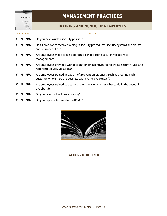

# **MANAGEMENT PRACTICES**

# **TRAINING AND MONITORING EMPLOYEES**

|   |   | Circle answer | Question                                                                                                                                       |
|---|---|---------------|------------------------------------------------------------------------------------------------------------------------------------------------|
| Y | N | N/A           | Do you have written security policies?                                                                                                         |
| Y | N | N/A           | Do all employees receive training in security procedures, security systems and alarms,<br>and security policies?                               |
| Y | N | N/A           | Are employees made to feel comfortable in reporting security violations to<br>management?                                                      |
| Y | N | N/A           | Are employees provided with recognition or incentives for following security rules and<br>reporting security violations?                       |
| Y | N | N/A           | Are employees trained in basic theft prevention practices (such as greeting each<br>customer who enters the business with eye-to-eye contact)? |
| Y | N | N/A           | Are employees trained to deal with emergencies (such as what to do in the event of<br>a robbery?)                                              |
| Y | N | N/A           | Do you record all incidents in a log?                                                                                                          |
|   | N | N/A           | Do you report all crimes to the RCMP?                                                                                                          |